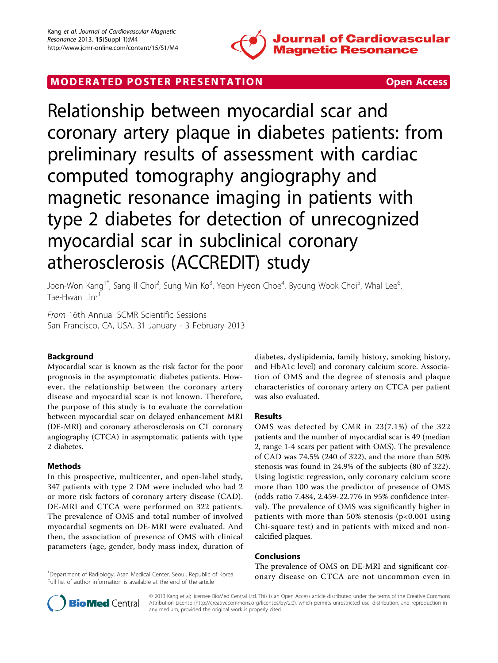

# MODERATED POSTER PRESENTATION **SECURE 20 SET ACCESS**

Relationship between myocardial scar and coronary artery plaque in diabetes patients: from preliminary results of assessment with cardiac computed tomography angiography and magnetic resonance imaging in patients with type 2 diabetes for detection of unrecognized myocardial scar in subclinical coronary atherosclerosis (ACCREDIT) study

Joon-Won Kang $^{\text{1*}}$ , Sang Il Choi $^{\text{2}}$ , Sung Min Ko $^{\text{3}}$ , Yeon Hyeon Choe $^{\text{4}}$ , Byoung Wook Choi $^{\text{5}}$ , Whal Lee $^{\text{6}}$ , Tae-Hwan Lim<sup>1</sup>

From 16th Annual SCMR Scientific Sessions San Francisco, CA, USA. 31 January - 3 February 2013

# Background

Myocardial scar is known as the risk factor for the poor prognosis in the asymptomatic diabetes patients. However, the relationship between the coronary artery disease and myocardial scar is not known. Therefore, the purpose of this study is to evaluate the correlation between myocardial scar on delayed enhancement MRI (DE-MRI) and coronary atherosclerosis on CT coronary angiography (CTCA) in asymptomatic patients with type 2 diabetes.

# Methods

In this prospective, multicenter, and open-label study, 347 patients with type 2 DM were included who had 2 or more risk factors of coronary artery disease (CAD). DE-MRI and CTCA were performed on 322 patients. The prevalence of OMS and total number of involved myocardial segments on DE-MRI were evaluated. And then, the association of presence of OMS with clinical parameters (age, gender, body mass index, duration of

<sup>1</sup>Department of Radiology, Asan Medical Center, Seoul, Republic of Korea Full list of author information is available at the end of the article

diabetes, dyslipidemia, family history, smoking history, and HbA1c level) and coronary calcium score. Association of OMS and the degree of stenosis and plaque characteristics of coronary artery on CTCA per patient was also evaluated.

# Results

OMS was detected by CMR in 23(7.1%) of the 322 patients and the number of myocardial scar is 49 (median 2, range 1-4 scars per patient with OMS). The prevalence of CAD was 74.5% (240 of 322), and the more than 50% stenosis was found in 24.9% of the subjects (80 of 322). Using logistic regression, only coronary calcium score more than 100 was the predictor of presence of OMS (odds ratio 7.484, 2.459-22.776 in 95% confidence interval). The prevalence of OMS was significantly higher in patients with more than 50% stenosis  $(p<0.001$  using Chi-square test) and in patients with mixed and noncalcified plaques.

# Conclusions

The prevalence of OMS on DE-MRI and significant coronary disease on CTCA are not uncommon even in <sup>1</sup>



© 2013 Kang et al; licensee BioMed Central Ltd. This is an Open Access article distributed under the terms of the Creative Commons Attribution License [\(http://creativecommons.org/licenses/by/2.0](http://creativecommons.org/licenses/by/2.0)), which permits unrestricted use, distribution, and reproduction in any medium, provided the original work is properly cited.